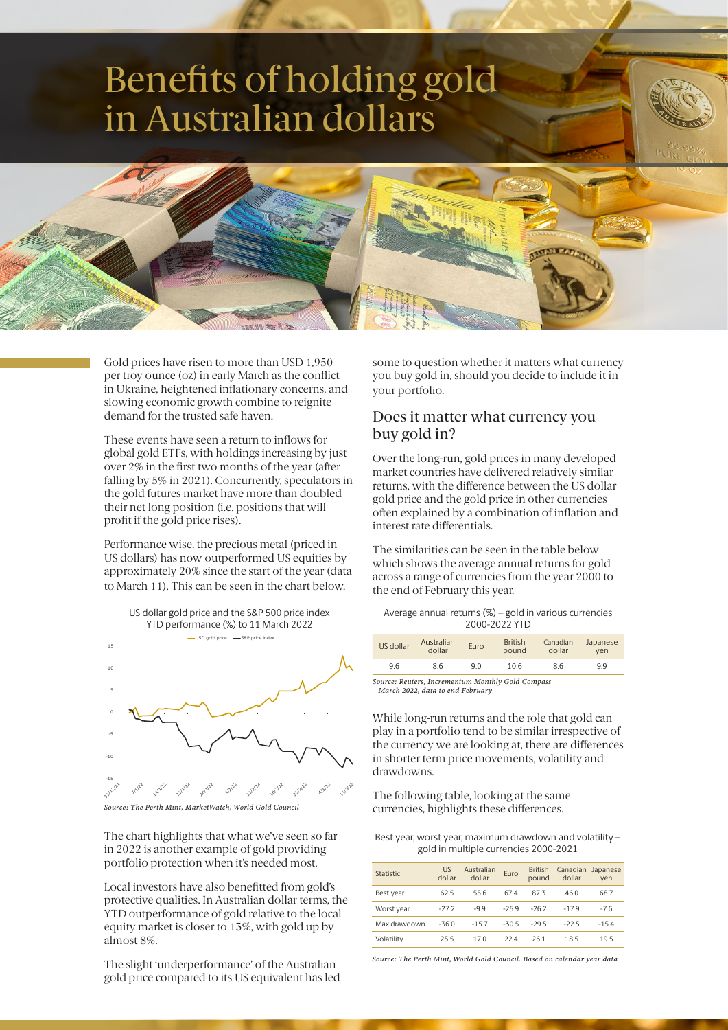# Benefits of holding gold in Australian dollars



Gold prices have risen to more than USD 1,950 per troy ounce (oz) in early March as the conflict in Ukraine, heightened inflationary concerns, and slowing economic growth combine to reignite demand for the trusted safe haven.

These events have seen a return to inflows for global gold ETFs, with holdings increasing by just over 2% in the first two months of the year (after falling by 5% in 2021). Concurrently, speculators in the gold futures market have more than doubled their net long position (i.e. positions that will profit if the gold price rises).

Performance wise, the precious metal (priced in US dollars) has now outperformed US equities by approximately 20% since the start of the year (data to March 11). This can be seen in the chart below.



*Source: The Perth Mint, MarketWatch, World Gold Council*

The chart highlights that what we've seen so far in 2022 is another example of gold providing portfolio protection when it's needed most.

Local investors have also benefitted from gold's protective qualities. In Australian dollar terms, the YTD outperformance of gold relative to the local equity market is closer to 13%, with gold up by almost 8%.

The slight 'underperformance' of the Australian gold price compared to its US equivalent has led some to question whether it matters what currency you buy gold in, should you decide to include it in your portfolio.

#### Does it matter what currency you buy gold in?

Over the long-run, gold prices in many developed market countries have delivered relatively similar returns, with the difference between the US dollar gold price and the gold price in other currencies often explained by a combination of inflation and interest rate differentials.

The similarities can be seen in the table below which shows the average annual returns for gold across a range of currencies from the year 2000 to the end of February this year.

| Average annual returns $(\%)$ – gold in various currencies |
|------------------------------------------------------------|
| 2000-2022 YTD                                              |

| US dollar                                         | Australian<br>dollar | Euro | <b>British</b><br>pound | Canadian<br>dollar | Japanese<br>ven |  |
|---------------------------------------------------|----------------------|------|-------------------------|--------------------|-----------------|--|
| 9.6                                               | 86                   | 9 O  | 10.6                    | 86                 | 99              |  |
| `ource: Reuters, Incrementum Monthly Gold Compass |                      |      |                         |                    |                 |  |

*Source: Reuters, Incrementum Monthly Gold Compass – March 2022, data to end February*

While long-run returns and the role that gold can play in a portfolio tend to be similar irrespective of the currency we are looking at, there are differences in shorter term price movements, volatility and drawdowns.

The following table, looking at the same currencies, highlights these differences.

Best year, worst year, maximum drawdown and volatility – gold in multiple currencies 2000-2021

| Statistic    | <b>US</b><br>dollar | Australian<br>dollar | Euro    | <b>British</b><br>pound | Canadian<br>dollar | Japanese<br>ven |
|--------------|---------------------|----------------------|---------|-------------------------|--------------------|-----------------|
| Best year    | 62.5                | 55.6                 | 67.4    | 87.3                    | 46.0               | 68.7            |
| Worst year   | $-27.2$             | $-9.9$               | $-259$  | $-26.2$                 | $-179$             | $-7.6$          |
| Max drawdown | $-36.0$             | $-15.7$              | $-30.5$ | $-295$                  | $-225$             | $-15.4$         |
| Volatility   | 25.5                | 17.0                 | 224     | 261                     | 18.5               | 19.5            |

*Source: The Perth Mint, World Gold Council. Based on calendar year data*